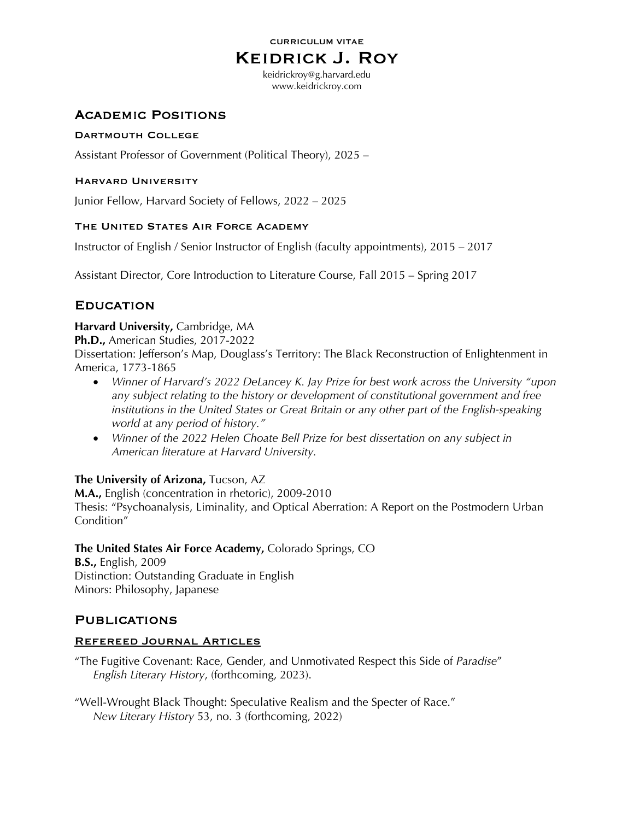#### CURRICULUM VITAE

# Keidrick J. Roy

keidrickroy@g.harvard.edu www.keidrickroy.com

# **ACADEMIC POSITIONS**

### Dartmouth College

Assistant Professor of Government (Political Theory), 2025 –

### Harvard University

Junior Fellow, Harvard Society of Fellows, 2022 – 2025

### THE UNITED STATES AIR FORCE ACADEMY

Instructor of English / Senior Instructor of English (faculty appointments), 2015 – 2017

Assistant Director, Core Introduction to Literature Course, Fall 2015 – Spring 2017

# **EDUCATION**

### **Harvard University,** Cambridge, MA

**Ph.D.,** American Studies, 2017-2022

Dissertation: Jefferson's Map, Douglass's Territory: The Black Reconstruction of Enlightenment in America, 1773-1865

- *Winner of Harvard's 2022 DeLancey K. Jay Prize for best work across the University "upon any subject relating to the history or development of constitutional government and free institutions in the United States or Great Britain or any other part of the English-speaking world at any period of history."*
- *Winner of the 2022 Helen Choate Bell Prize for best dissertation on any subject in American literature at Harvard University.*

### **The University of Arizona,** Tucson, AZ

**M.A.,** English (concentration in rhetoric), 2009-2010

Thesis: "Psychoanalysis, Liminality, and Optical Aberration: A Report on the Postmodern Urban Condition"

## **The United States Air Force Academy,** Colorado Springs, CO

**B.S.,** English, 2009 Distinction: Outstanding Graduate in English Minors: Philosophy, Japanese

# **PUBLICATIONS**

### Refereed Journal Articles

"The Fugitive Covenant: Race, Gender, and Unmotivated Respect this Side of *Paradise*" *English Literary History*, (forthcoming, 2023).

"Well-Wrought Black Thought: Speculative Realism and the Specter of Race." *New Literary History* 53, no. 3 (forthcoming, 2022)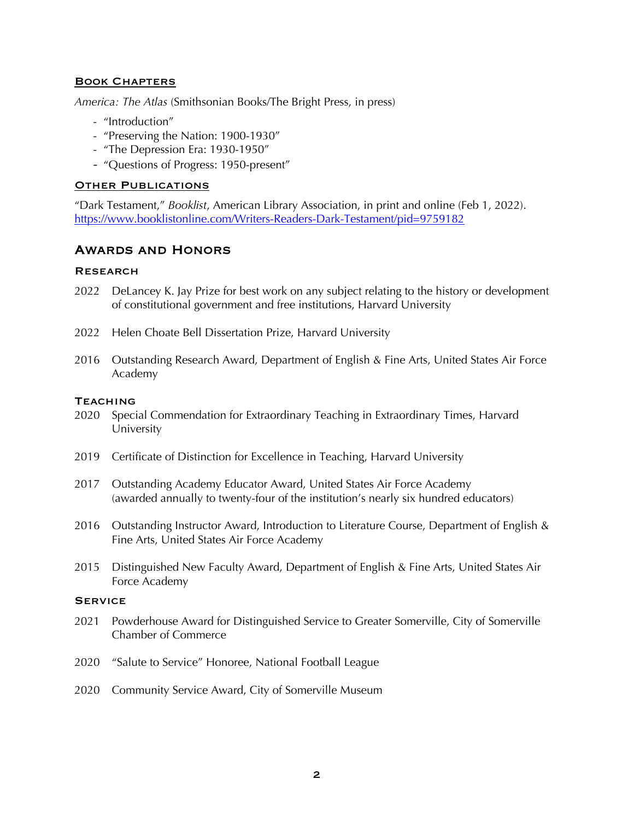#### Book Chapters

*America: The Atlas* (Smithsonian Books/The Bright Press, in press)

- "Introduction"
- "Preserving the Nation: 1900-1930"
- "The Depression Era: 1930-1950"
- "Questions of Progress: 1950-present"

#### **OTHER PUBLICATIONS**

"Dark Testament," *Booklist*, American Library Association, in print and online (Feb 1, 2022). https://www.booklistonline.com/Writers-Readers-Dark-Testament/pid=9759182

# Awards and Honors

#### **RESEARCH**

- 2022 DeLancey K. Jay Prize for best work on any subject relating to the history or development of constitutional government and free institutions, Harvard University
- 2022 Helen Choate Bell Dissertation Prize, Harvard University
- 2016 Outstanding Research Award, Department of English & Fine Arts, United States Air Force Academy

#### **TEACHING**

- 2020 Special Commendation for Extraordinary Teaching in Extraordinary Times, Harvard University
- 2019 Certificate of Distinction for Excellence in Teaching, Harvard University
- 2017 Outstanding Academy Educator Award, United States Air Force Academy (awarded annually to twenty-four of the institution's nearly six hundred educators)
- 2016 Outstanding Instructor Award, Introduction to Literature Course, Department of English & Fine Arts, United States Air Force Academy
- 2015 Distinguished New Faculty Award, Department of English & Fine Arts, United States Air Force Academy

#### **SERVICE**

- 2021 Powderhouse Award for Distinguished Service to Greater Somerville, City of Somerville Chamber of Commerce
- 2020 "Salute to Service" Honoree, National Football League
- 2020 Community Service Award, City of Somerville Museum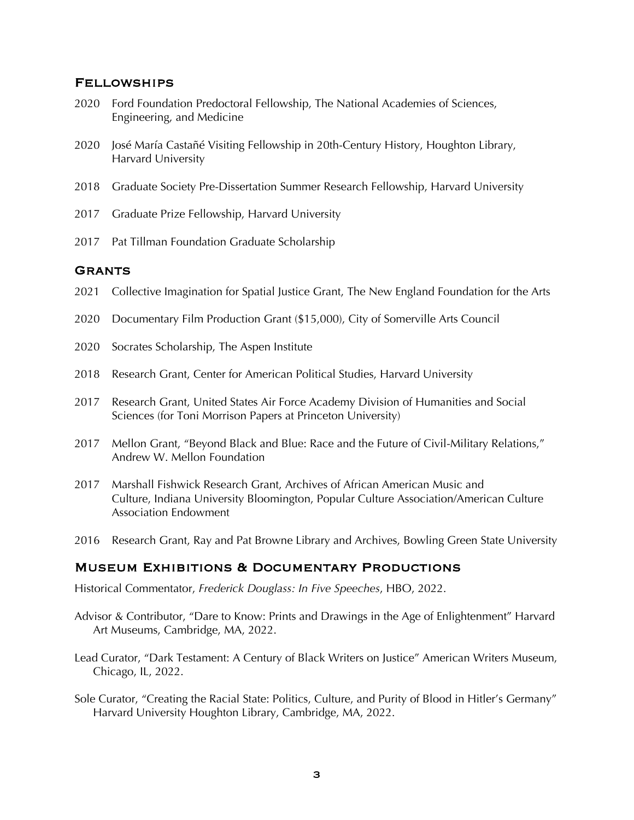### Fellowships

- 2020 Ford Foundation Predoctoral Fellowship, The National Academies of Sciences, Engineering, and Medicine
- 2020 José María Castañé Visiting Fellowship in 20th-Century History, Houghton Library, Harvard University
- 2018 Graduate Society Pre-Dissertation Summer Research Fellowship, Harvard University
- 2017 Graduate Prize Fellowship, Harvard University
- 2017 Pat Tillman Foundation Graduate Scholarship

### **GRANTS**

- 2021 Collective Imagination for Spatial Justice Grant, The New England Foundation for the Arts
- 2020 Documentary Film Production Grant (\$15,000), City of Somerville Arts Council
- 2020 Socrates Scholarship, The Aspen Institute
- 2018 Research Grant, Center for American Political Studies, Harvard University
- 2017 Research Grant, United States Air Force Academy Division of Humanities and Social Sciences (for Toni Morrison Papers at Princeton University)
- 2017 Mellon Grant, "Beyond Black and Blue: Race and the Future of Civil-Military Relations," Andrew W. Mellon Foundation
- 2017 Marshall Fishwick Research Grant, Archives of African American Music and Culture, Indiana University Bloomington, Popular Culture Association/American Culture Association Endowment
- 2016 Research Grant, Ray and Pat Browne Library and Archives, Bowling Green State University

### Museum Exhibitions & Documentary Productions

Historical Commentator, *Frederick Douglass: In Five Speeches*, HBO, 2022.

- Advisor & Contributor, "Dare to Know: Prints and Drawings in the Age of Enlightenment" Harvard Art Museums, Cambridge, MA, 2022.
- Lead Curator, "Dark Testament: A Century of Black Writers on Justice" American Writers Museum, Chicago, IL, 2022.
- Sole Curator, "Creating the Racial State: Politics, Culture, and Purity of Blood in Hitler's Germany" Harvard University Houghton Library, Cambridge, MA, 2022.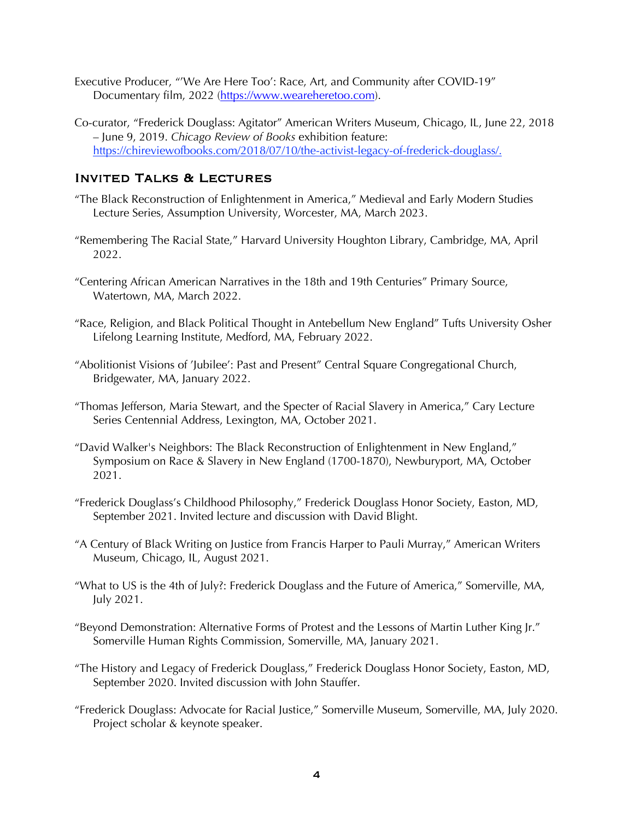- Executive Producer, "'We Are Here Too': Race, Art, and Community after COVID-19" Documentary film, 2022 (https://www.weareheretoo.com).
- Co-curator, "Frederick Douglass: Agitator" American Writers Museum, Chicago, IL, June 22, 2018 – June 9, 2019. *Chicago Review of Books* exhibition feature: https://chireviewofbooks.com/2018/07/10/the-activist-legacy-of-frederick-douglass/.

# Invited Talks & Lectures

- "The Black Reconstruction of Enlightenment in America," Medieval and Early Modern Studies Lecture Series, Assumption University, Worcester, MA, March 2023.
- "Remembering The Racial State," Harvard University Houghton Library, Cambridge, MA, April 2022.
- "Centering African American Narratives in the 18th and 19th Centuries" Primary Source, Watertown, MA, March 2022.
- "Race, Religion, and Black Political Thought in Antebellum New England" Tufts University Osher Lifelong Learning Institute, Medford, MA, February 2022.
- "Abolitionist Visions of 'Jubilee': Past and Present" Central Square Congregational Church, Bridgewater, MA, January 2022.
- "Thomas Jefferson, Maria Stewart, and the Specter of Racial Slavery in America," Cary Lecture Series Centennial Address, Lexington, MA, October 2021.
- "David Walker's Neighbors: The Black Reconstruction of Enlightenment in New England," Symposium on Race & Slavery in New England (1700-1870), Newburyport, MA, October 2021.
- "Frederick Douglass's Childhood Philosophy," Frederick Douglass Honor Society, Easton, MD, September 2021. Invited lecture and discussion with David Blight.
- "A Century of Black Writing on Justice from Francis Harper to Pauli Murray," American Writers Museum, Chicago, IL, August 2021.
- "What to US is the 4th of July?: Frederick Douglass and the Future of America," Somerville, MA, July 2021.
- "Beyond Demonstration: Alternative Forms of Protest and the Lessons of Martin Luther King Jr." Somerville Human Rights Commission, Somerville, MA, January 2021.
- "The History and Legacy of Frederick Douglass," Frederick Douglass Honor Society, Easton, MD, September 2020. Invited discussion with John Stauffer.
- "Frederick Douglass: Advocate for Racial Justice," Somerville Museum, Somerville, MA, July 2020. Project scholar & keynote speaker.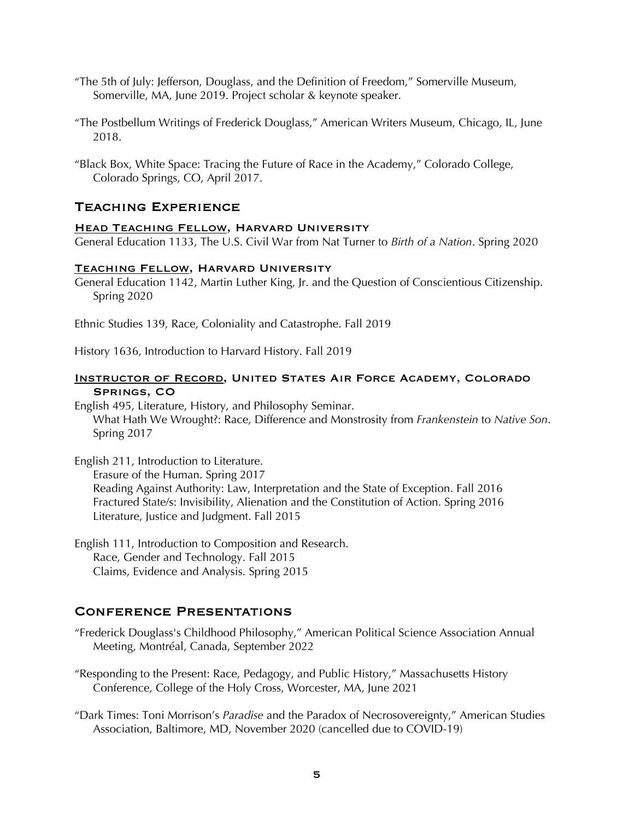- "The 5th of July: Jefferson, Douglass, and the Definition of Freedom," Somerville Museum, Somerville, MA, June 2019. Project scholar & keynote speaker.
- "The Postbellum Writings of Frederick Douglass," American Writers Museum, Chicago, IL, June 2018.
- "Black Box, White Space: Tracing the Future of Race in the Academy," Colorado College, Colorado Springs, CO, April 2017.

# Teaching Experience

### **HEAD TEACHING FELLOW, HARVARD UNIVERSITY**

General Education 1133, The U.S. Civil War from Nat Turner to *Birth of a Nation*. Spring 2020

### Teaching Fellow, Harvard University

General Education 1142, Martin Luther King, Jr. and the Question of Conscientious Citizenship. Spring 2020

Ethnic Studies 139, Race, Coloniality and Catastrophe. Fall 2019

History 1636, Introduction to Harvard History. Fall 2019

### INSTRUCTOR OF RECORD, UNITED STATES AIR FORCE ACADEMY, COLORADO Springs, CO

English 495, Literature, History, and Philosophy Seminar. What Hath We Wrought?: Race, Difference and Monstrosity from *Frankenstein* to *Native Son*. Spring 2017

English 211, Introduction to Literature. Erasure of the Human. Spring 2017 Reading Against Authority: Law, Interpretation and the State of Exception. Fall 2016 Fractured State/s: Invisibility, Alienation and the Constitution of Action. Spring 2016 Literature, Justice and Judgment. Fall 2015

English 111, Introduction to Composition and Research. Race, Gender and Technology. Fall 2015 Claims, Evidence and Analysis. Spring 2015

# Conference Presentations

- "Frederick Douglass's Childhood Philosophy," American Political Science Association Annual Meeting, Montréal, Canada, September 2022
- "Responding to the Present: Race, Pedagogy, and Public History," Massachusetts History Conference, College of the Holy Cross, Worcester, MA, June 2021
- "Dark Times: Toni Morrison's *Paradise* and the Paradox of Necrosovereignty," American Studies Association, Baltimore, MD, November 2020 (cancelled due to COVID-19)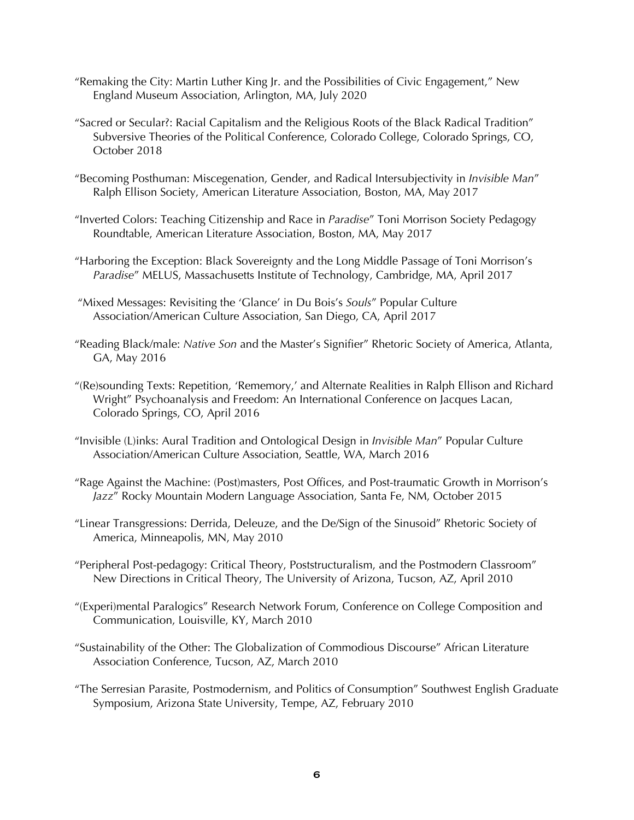- "Remaking the City: Martin Luther King Jr. and the Possibilities of Civic Engagement," New England Museum Association, Arlington, MA, July 2020
- "Sacred or Secular?: Racial Capitalism and the Religious Roots of the Black Radical Tradition" Subversive Theories of the Political Conference, Colorado College, Colorado Springs, CO, October 2018
- "Becoming Posthuman: Miscegenation, Gender, and Radical Intersubjectivity in *Invisible Man*" Ralph Ellison Society, American Literature Association, Boston, MA, May 2017
- "Inverted Colors: Teaching Citizenship and Race in *Paradise*" Toni Morrison Society Pedagogy Roundtable, American Literature Association, Boston, MA, May 2017
- "Harboring the Exception: Black Sovereignty and the Long Middle Passage of Toni Morrison's *Paradise*" MELUS, Massachusetts Institute of Technology, Cambridge, MA, April 2017
- "Mixed Messages: Revisiting the 'Glance' in Du Bois's *Souls*" Popular Culture Association/American Culture Association, San Diego, CA, April 2017
- "Reading Black/male: *Native Son* and the Master's Signifier" Rhetoric Society of America, Atlanta, GA, May 2016
- "(Re)sounding Texts: Repetition, 'Rememory,' and Alternate Realities in Ralph Ellison and Richard Wright" Psychoanalysis and Freedom: An International Conference on Jacques Lacan, Colorado Springs, CO, April 2016
- "Invisible (L)inks: Aural Tradition and Ontological Design in *Invisible Man*" Popular Culture Association/American Culture Association, Seattle, WA, March 2016
- "Rage Against the Machine: (Post)masters, Post Offices, and Post-traumatic Growth in Morrison's *Jazz*" Rocky Mountain Modern Language Association, Santa Fe, NM, October 2015
- "Linear Transgressions: Derrida, Deleuze, and the De/Sign of the Sinusoid" Rhetoric Society of America, Minneapolis, MN, May 2010
- "Peripheral Post-pedagogy: Critical Theory, Poststructuralism, and the Postmodern Classroom" New Directions in Critical Theory, The University of Arizona, Tucson, AZ, April 2010
- "(Experi)mental Paralogics" Research Network Forum, Conference on College Composition and Communication, Louisville, KY, March 2010
- "Sustainability of the Other: The Globalization of Commodious Discourse" African Literature Association Conference, Tucson, AZ, March 2010
- "The Serresian Parasite, Postmodernism, and Politics of Consumption" Southwest English Graduate Symposium, Arizona State University, Tempe, AZ, February 2010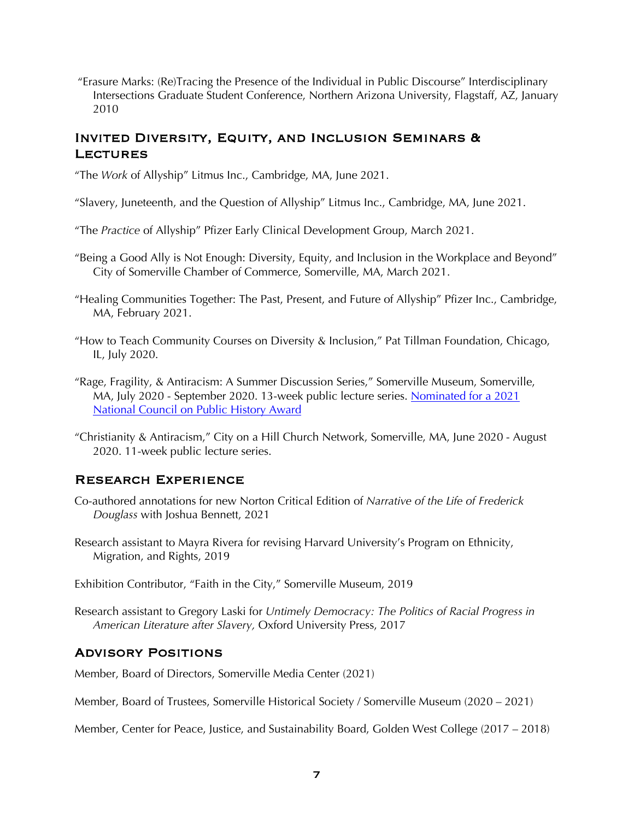"Erasure Marks: (Re)Tracing the Presence of the Individual in Public Discourse" Interdisciplinary Intersections Graduate Student Conference, Northern Arizona University, Flagstaff, AZ, January 2010

# Invited Diversity, Equity, and Inclusion Seminars & **LECTURES**

"The *Work* of Allyship" Litmus Inc., Cambridge, MA, June 2021.

"Slavery, Juneteenth, and the Question of Allyship" Litmus Inc., Cambridge, MA, June 2021.

"The *Practice* of Allyship" Pfizer Early Clinical Development Group, March 2021.

- "Being a Good Ally is Not Enough: Diversity, Equity, and Inclusion in the Workplace and Beyond" City of Somerville Chamber of Commerce, Somerville, MA, March 2021.
- "Healing Communities Together: The Past, Present, and Future of Allyship" Pfizer Inc., Cambridge, MA, February 2021.
- "How to Teach Community Courses on Diversity & Inclusion," Pat Tillman Foundation, Chicago, IL, July 2020.
- "Rage, Fragility, & Antiracism: A Summer Discussion Series," Somerville Museum, Somerville, MA, July 2020 - September 2020. 13-week public lecture series. Nominated for a 2021 National Council on Public History Award
- "Christianity & Antiracism," City on a Hill Church Network, Somerville, MA, June 2020 August 2020. 11-week public lecture series.

## Research Experience

- Co-authored annotations for new Norton Critical Edition of *Narrative of the Life of Frederick Douglass* with Joshua Bennett, 2021
- Research assistant to Mayra Rivera for revising Harvard University's Program on Ethnicity, Migration, and Rights, 2019

Exhibition Contributor, "Faith in the City," Somerville Museum, 2019

Research assistant to Gregory Laski for *Untimely Democracy: The Politics of Racial Progress in American Literature after Slavery,* Oxford University Press, 2017

# Advisory Positions

Member, Board of Directors, Somerville Media Center (2021)

Member, Board of Trustees, Somerville Historical Society / Somerville Museum (2020 – 2021)

Member, Center for Peace, Justice, and Sustainability Board, Golden West College (2017 – 2018)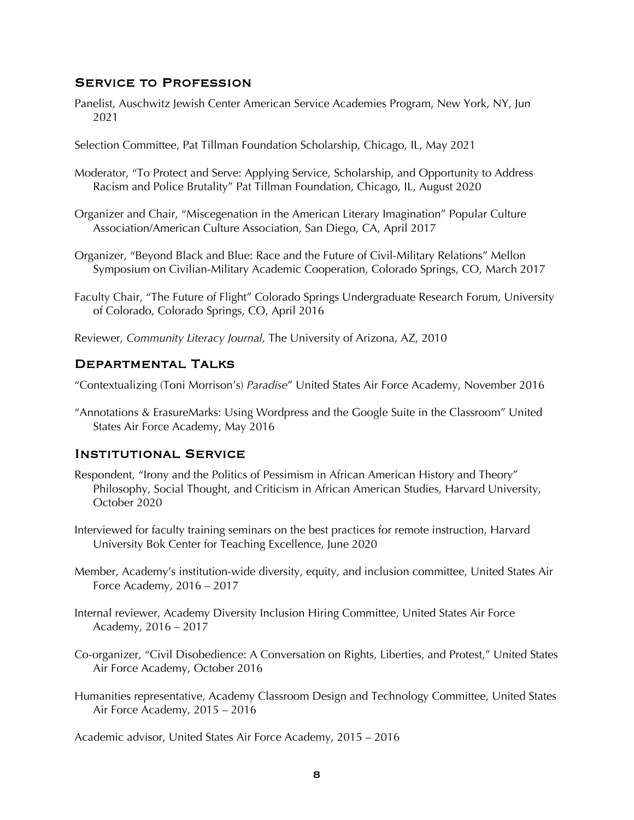### Service to Profession

- Panelist, Auschwitz Jewish Center American Service Academies Program, New York, NY, Jun 2021
- Selection Committee, Pat Tillman Foundation Scholarship, Chicago, IL, May 2021
- Moderator, "To Protect and Serve: Applying Service, Scholarship, and Opportunity to Address Racism and Police Brutality" Pat Tillman Foundation, Chicago, IL, August 2020
- Organizer and Chair, "Miscegenation in the American Literary Imagination" Popular Culture Association/American Culture Association, San Diego, CA, April 2017
- Organizer, "Beyond Black and Blue: Race and the Future of Civil-Military Relations" Mellon Symposium on Civilian-Military Academic Cooperation, Colorado Springs, CO, March 2017
- Faculty Chair, "The Future of Flight" Colorado Springs Undergraduate Research Forum, University of Colorado, Colorado Springs, CO, April 2016
- Reviewer, *Community Literacy Journal,* The University of Arizona, AZ, 2010

#### Departmental Talks

"Contextualizing (Toni Morrison's) *Paradise*" United States Air Force Academy, November 2016

"Annotations & ErasureMarks: Using Wordpress and the Google Suite in the Classroom" United States Air Force Academy, May 2016

#### Institutional Service

- Respondent, "Irony and the Politics of Pessimism in African American History and Theory" Philosophy, Social Thought, and Criticism in African American Studies, Harvard University, October 2020
- Interviewed for faculty training seminars on the best practices for remote instruction, Harvard University Bok Center for Teaching Excellence, June 2020
- Member, Academy's institution-wide diversity, equity, and inclusion committee, United States Air Force Academy, 2016 – 2017
- Internal reviewer, Academy Diversity Inclusion Hiring Committee, United States Air Force Academy, 2016 – 2017
- Co-organizer, "Civil Disobedience: A Conversation on Rights, Liberties, and Protest," United States Air Force Academy, October 2016
- Humanities representative, Academy Classroom Design and Technology Committee, United States Air Force Academy, 2015 – 2016

Academic advisor, United States Air Force Academy, 2015 – 2016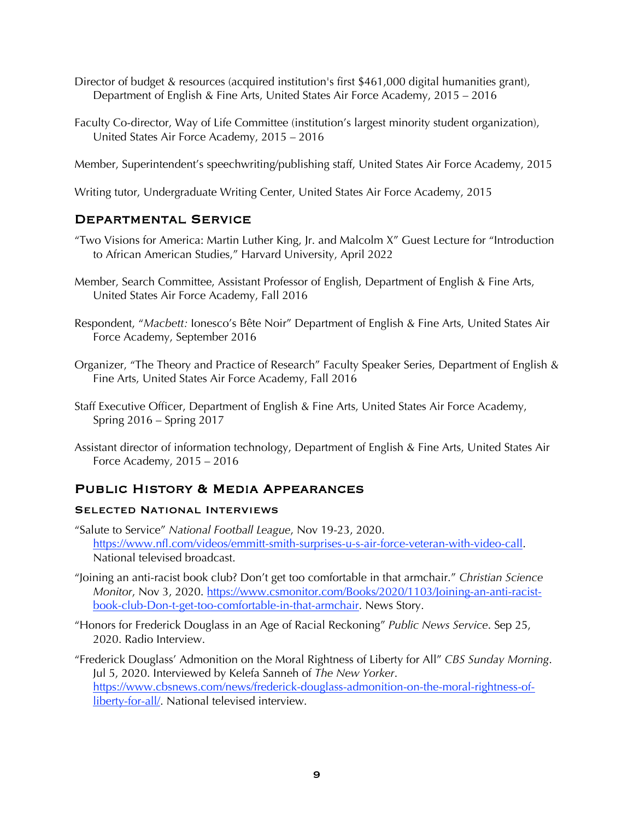- Director of budget & resources (acquired institution's first \$461,000 digital humanities grant), Department of English & Fine Arts, United States Air Force Academy, 2015 – 2016
- Faculty Co-director, Way of Life Committee (institution's largest minority student organization), United States Air Force Academy, 2015 – 2016

Member, Superintendent's speechwriting/publishing staff, United States Air Force Academy, 2015

Writing tutor, Undergraduate Writing Center, United States Air Force Academy, 2015

## Departmental Service

- "Two Visions for America: Martin Luther King, Jr. and Malcolm X" Guest Lecture for "Introduction to African American Studies," Harvard University, April 2022
- Member, Search Committee, Assistant Professor of English, Department of English & Fine Arts, United States Air Force Academy, Fall 2016
- Respondent, "*Macbett:* Ionesco's Bête Noir" Department of English & Fine Arts, United States Air Force Academy, September 2016
- Organizer, "The Theory and Practice of Research" Faculty Speaker Series, Department of English & Fine Arts, United States Air Force Academy, Fall 2016
- Staff Executive Officer, Department of English & Fine Arts, United States Air Force Academy, Spring 2016 – Spring 2017
- Assistant director of information technology, Department of English & Fine Arts, United States Air Force Academy, 2015 – 2016

# Public History & Media Appearances

### SELECTED NATIONAL INTERVIEWS

- "Salute to Service" *National Football League*, Nov 19-23, 2020. https://www.nfl.com/videos/emmitt-smith-surprises-u-s-air-force-veteran-with-video-call. National televised broadcast.
- "Joining an anti-racist book club? Don't get too comfortable in that armchair." *Christian Science Monitor*, Nov 3, 2020. https://www.csmonitor.com/Books/2020/1103/Joining-an-anti-racistbook-club-Don-t-get-too-comfortable-in-that-armchair. News Story.
- "Honors for Frederick Douglass in an Age of Racial Reckoning" *Public News Service*. Sep 25, 2020. Radio Interview.
- "Frederick Douglass' Admonition on the Moral Rightness of Liberty for All" *CBS Sunday Morning*. Jul 5, 2020. Interviewed by Kelefa Sanneh of *The New Yorker*. https://www.cbsnews.com/news/frederick-douglass-admonition-on-the-moral-rightness-ofliberty-for-all/. National televised interview.